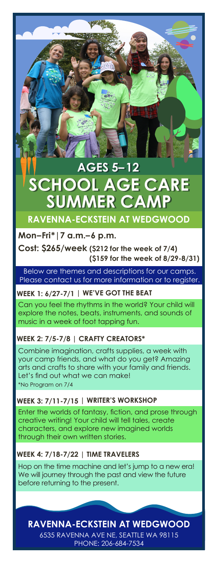# **SUMMER CA AGES 5–12 AGES 5–12 SCHOOL AGE CARE SCHOOL AGE CARE RAVENNA-ECKSTEIN AT WEDGWOOD**

# **Mon–Fri\*|7 a.m.–6 p.m.**

**Cost: \$265/week (\$212 for the week of 7/4) (\$159 for the week of 8/29-8/31)**

Below are themes and descriptions for our camps. Please contact us for more information or to register.

# **WEEK 1: 6/27-7/1 | WE'VE GOT THE BEAT**

Can you feel the rhythms in the world? Your child will explore the notes, beats, instruments, and sounds of music in a week of foot tapping fun.

#### **WEEK 2: 7/5-7/8 | CRAFTY CREATORS\***

\*No Program on 7/4 Combine imagination, crafts supplies, a week with your camp friends, and what do you get? Amazing arts and crafts to share with your family and friends. Let's find out what we can make!

#### **WEEK 3: 7/11-7/15 | WRITER'S WORKSHOP**

Enter the worlds of fantasy, fiction, and prose through creative writing! Your child will tell tales, create characters, and explore new imagined worlds through their own written stories.

#### **WEEK 4: 7/18-7/22 | TIME TRAVELERS**

Hop on the time machine and let's jump to a new era! We will journey through the past and view the future before returning to the present.

**RAVENNA-ECKSTEIN AT WEDGWOOD**

6535 RAVENNA AVE NE, SEATTLE WA 98115 PHONE: 206-684-7534